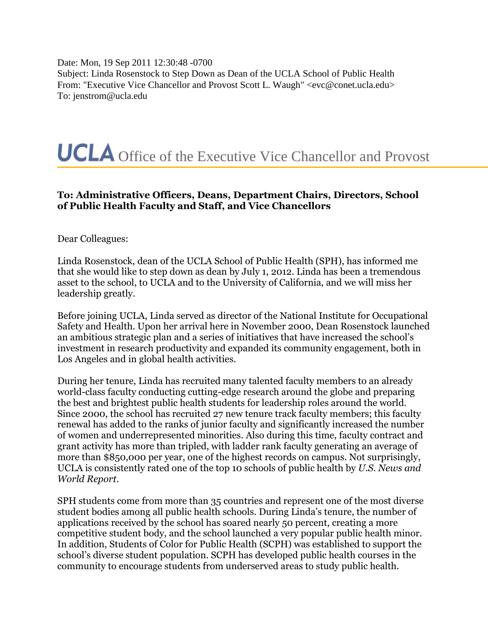Date: Mon, 19 Sep 2011 12:30:48 -0700 Subject: Linda Rosenstock to Step Down as Dean of the UCLA School of Public Health From: "Executive Vice Chancellor and Provost Scott L. Waugh" <evc@conet.ucla.edu> To: jenstrom@ucla.edu



## **To: Administrative Officers, Deans, Department Chairs, Directors, School of Public Health Faculty and Staff, and Vice Chancellors**

Dear Colleagues:

Linda Rosenstock, dean of the UCLA School of Public Health (SPH), has informed me that she would like to step down as dean by July 1, 2012. Linda has been a tremendous asset to the school, to UCLA and to the University of California, and we will miss her leadership greatly.

Before joining UCLA, Linda served as director of the National Institute for Occupational Safety and Health. Upon her arrival here in November 2000, Dean Rosenstock launched an ambitious strategic plan and a series of initiatives that have increased the school's investment in research productivity and expanded its community engagement, both in Los Angeles and in global health activities.

During her tenure, Linda has recruited many talented faculty members to an already world-class faculty conducting cutting-edge research around the globe and preparing the best and brightest public health students for leadership roles around the world. Since 2000, the school has recruited 27 new tenure track faculty members; this faculty renewal has added to the ranks of junior faculty and significantly increased the number of women and underrepresented minorities. Also during this time, faculty contract and grant activity has more than tripled, with ladder rank faculty generating an average of more than \$850,000 per year, one of the highest records on campus. Not surprisingly, UCLA is consistently rated one of the top 10 schools of public health by *U.S. News and World Report*.

SPH students come from more than 35 countries and represent one of the most diverse student bodies among all public health schools. During Linda's tenure, the number of applications received by the school has soared nearly 50 percent, creating a more competitive student body, and the school launched a very popular public health minor. In addition, Students of Color for Public Health (SCPH) was established to support the school's diverse student population. SCPH has developed public health courses in the community to encourage students from underserved areas to study public health.